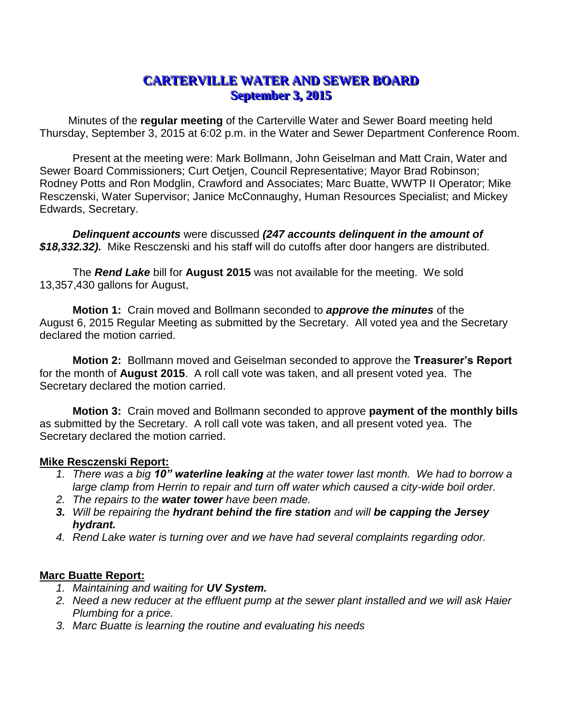## **CARTERVILLE WATER AND SEWER BOARD September 3, 2015**

Minutes of the **regular meeting** of the Carterville Water and Sewer Board meeting held Thursday, September 3, 2015 at 6:02 p.m. in the Water and Sewer Department Conference Room.

Present at the meeting were: Mark Bollmann, John Geiselman and Matt Crain, Water and Sewer Board Commissioners; Curt Oetjen, Council Representative; Mayor Brad Robinson; Rodney Potts and Ron Modglin, Crawford and Associates; Marc Buatte, WWTP II Operator; Mike Resczenski, Water Supervisor; Janice McConnaughy, Human Resources Specialist; and Mickey Edwards, Secretary.

*Delinquent accounts* were discussed *(247 accounts delinquent in the amount of \$18,332.32).* Mike Resczenski and his staff will do cutoffs after door hangers are distributed*.*

The *Rend Lake* bill for **August 2015** was not available for the meeting. We sold 13,357,430 gallons for August,

**Motion 1:** Crain moved and Bollmann seconded to *approve the minutes* of the August 6, 2015 Regular Meeting as submitted by the Secretary. All voted yea and the Secretary declared the motion carried.

**Motion 2:** Bollmann moved and Geiselman seconded to approve the **Treasurer's Report** for the month of **August 2015**. A roll call vote was taken, and all present voted yea. The Secretary declared the motion carried.

**Motion 3:** Crain moved and Bollmann seconded to approve **payment of the monthly bills** as submitted by the Secretary. A roll call vote was taken, and all present voted yea. The Secretary declared the motion carried.

## **Mike Resczenski Report:**

- *1. There was a big 10" waterline leaking at the water tower last month. We had to borrow a large clamp from Herrin to repair and turn off water which caused a city-wide boil order.*
- *2. The repairs to the water tower have been made.*
- *3. Will be repairing the hydrant behind the fire station and will be capping the Jersey hydrant.*
- *4. Rend Lake water is turning over and we have had several complaints regarding odor.*

## **Marc Buatte Report:**

- *1. Maintaining and waiting for UV System.*
- *2. Need a new reducer at the effluent pump at the sewer plant installed and we will ask Haier Plumbing for a price.*
- *3. Marc Buatte is learning the routine and evaluating his needs*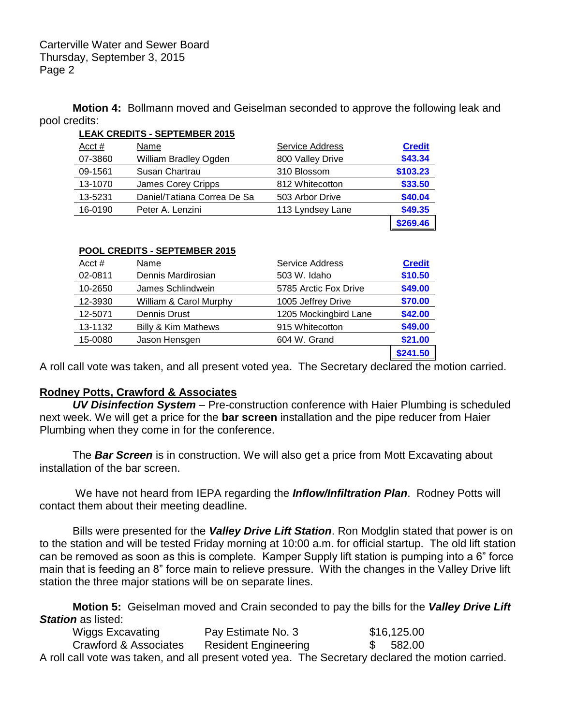**Motion 4:** Bollmann moved and Geiselman seconded to approve the following leak and pool credits:

| <b>LEAK CREDITS - SEPTEMBER 2015</b> |                              |                  |               |  |  |
|--------------------------------------|------------------------------|------------------|---------------|--|--|
| Acct #                               | Name                         | Service Address  | <b>Credit</b> |  |  |
| 07-3860                              | <b>William Bradley Ogden</b> | 800 Valley Drive | \$43.34       |  |  |
| 09-1561                              | Susan Chartrau               | 310 Blossom      | \$103.23      |  |  |
| 13-1070                              | James Corey Cripps           | 812 Whitecotton  | \$33.50       |  |  |
| 13-5231                              | Daniel/Tatiana Correa De Sa  | 503 Arbor Drive  | \$40.04       |  |  |
| 16-0190                              | Peter A. Lenzini             | 113 Lyndsey Lane | \$49.35       |  |  |
|                                      |                              |                  | \$269.46      |  |  |

| POOL CREDITS - SEPTEMBER 2015 |                                |                       |               |  |  |
|-------------------------------|--------------------------------|-----------------------|---------------|--|--|
| Acct $#$                      | Name                           | Service Address       | <b>Credit</b> |  |  |
| 02-0811                       | Dennis Mardirosian             | 503 W. Idaho          | \$10.50       |  |  |
| 10-2650                       | James Schlindwein              | 5785 Arctic Fox Drive | \$49.00       |  |  |
| 12-3930                       | William & Carol Murphy         | 1005 Jeffrey Drive    | \$70.00       |  |  |
| 12-5071                       | Dennis Drust                   | 1205 Mockingbird Lane | \$42.00       |  |  |
| 13-1132                       | <b>Billy &amp; Kim Mathews</b> | 915 Whitecotton       | \$49.00       |  |  |
| 15-0080                       | Jason Hensgen                  | 604 W. Grand          | \$21.00       |  |  |
|                               |                                |                       | \$241.50      |  |  |

A roll call vote was taken, and all present voted yea. The Secretary declared the motion carried.

## **Rodney Potts, Crawford & Associates**

*UV Disinfection System* – Pre-construction conference with Haier Plumbing is scheduled next week. We will get a price for the **bar screen** installation and the pipe reducer from Haier Plumbing when they come in for the conference.

The *Bar Screen* is in construction. We will also get a price from Mott Excavating about installation of the bar screen.

We have not heard from IEPA regarding the *Inflow/Infiltration Plan*. Rodney Potts will contact them about their meeting deadline.

Bills were presented for the *Valley Drive Lift Station*. Ron Modglin stated that power is on to the station and will be tested Friday morning at 10:00 a.m. for official startup. The old lift station can be removed as soon as this is complete. Kamper Supply lift station is pumping into a 6" force main that is feeding an 8" force main to relieve pressure. With the changes in the Valley Drive lift station the three major stations will be on separate lines.

**Motion 5:** Geiselman moved and Crain seconded to pay the bills for the *Valley Drive Lift Station* as listed:

Wiggs Excavating **Pay Estimate No. 3** \$16,125.00 Crawford & Associates Resident Engineering \$ 582.00 A roll call vote was taken, and all present voted yea. The Secretary declared the motion carried.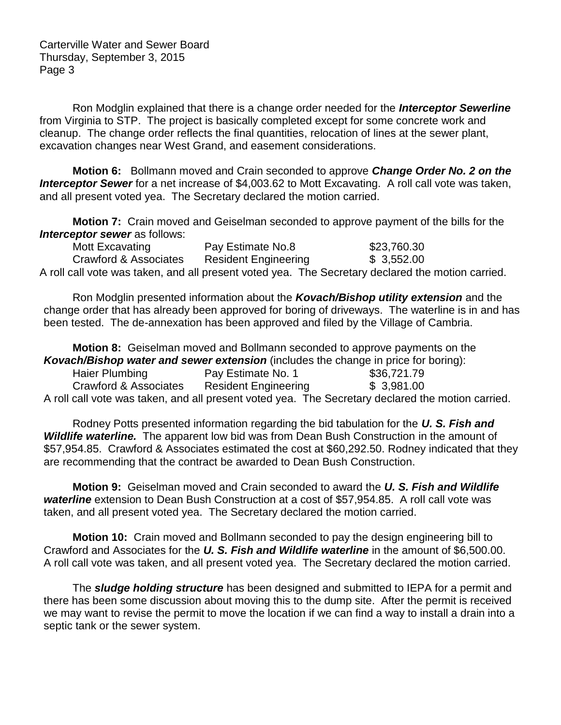Carterville Water and Sewer Board Thursday, September 3, 2015 Page 3

Ron Modglin explained that there is a change order needed for the *Interceptor Sewerline* from Virginia to STP. The project is basically completed except for some concrete work and cleanup. The change order reflects the final quantities, relocation of lines at the sewer plant, excavation changes near West Grand, and easement considerations.

**Motion 6:** Bollmann moved and Crain seconded to approve *Change Order No. 2 on the*  **Interceptor Sewer** for a net increase of \$4,003.62 to Mott Excavating. A roll call vote was taken, and all present voted yea. The Secretary declared the motion carried.

**Motion 7:** Crain moved and Geiselman seconded to approve payment of the bills for the *Interceptor sewer* as follows:

| Mott Excavating       | Pay Estimate No.8           | \$23,760.30                                                                                       |
|-----------------------|-----------------------------|---------------------------------------------------------------------------------------------------|
| Crawford & Associates | <b>Resident Engineering</b> | \$3,552.00                                                                                        |
|                       |                             | A roll call vote was taken, and all present voted yea. The Secretary declared the motion carried. |

Ron Modglin presented information about the *Kovach/Bishop utility extension* and the change order that has already been approved for boring of driveways. The waterline is in and has been tested. The de-annexation has been approved and filed by the Village of Cambria.

**Motion 8:** Geiselman moved and Bollmann seconded to approve payments on the *Kovach/Bishop water and sewer extension* (includes the change in price for boring): Haier Plumbing Pay Estimate No. 1 \$36,721.79 Crawford & Associates Resident Engineering \$ 3,981.00 A roll call vote was taken, and all present voted yea. The Secretary declared the motion carried.

Rodney Potts presented information regarding the bid tabulation for the *U. S. Fish and Wildlife waterline.* The apparent low bid was from Dean Bush Construction in the amount of \$57,954.85. Crawford & Associates estimated the cost at \$60,292.50. Rodney indicated that they are recommending that the contract be awarded to Dean Bush Construction.

**Motion 9:** Geiselman moved and Crain seconded to award the *U. S. Fish and Wildlife waterline* extension to Dean Bush Construction at a cost of \$57,954.85. A roll call vote was taken, and all present voted yea. The Secretary declared the motion carried.

**Motion 10:** Crain moved and Bollmann seconded to pay the design engineering bill to Crawford and Associates for the *U. S. Fish and Wildlife waterline* in the amount of \$6,500.00. A roll call vote was taken, and all present voted yea. The Secretary declared the motion carried.

The *sludge holding structure* has been designed and submitted to IEPA for a permit and there has been some discussion about moving this to the dump site. After the permit is received we may want to revise the permit to move the location if we can find a way to install a drain into a septic tank or the sewer system.